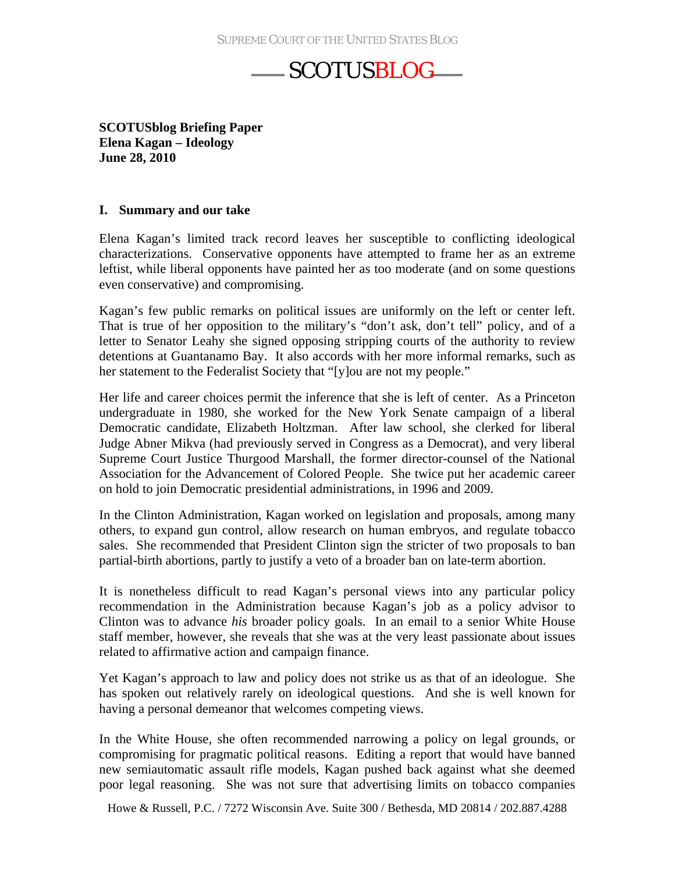**SCOTUSblog Briefing Paper Elena Kagan – Ideology June 28, 2010**

#### **I. Summary and our take**

Elena Kagan's limited track record leaves her susceptible to conflicting ideological characterizations. Conservative opponents have attempted to frame her as an extreme leftist, while liberal opponents have painted her as too moderate (and on some questions even conservative) and compromising.

Kagan's few public remarks on political issues are uniformly on the left or center left. That is true of her opposition to the military's "don't ask, don't tell" policy, and of a letter to Senator Leahy she signed opposing stripping courts of the authority to review detentions at Guantanamo Bay. It also accords with her more informal remarks, such as her statement to the Federalist Society that "[y]ou are not my people."

Her life and career choices permit the inference that she is left of center. As a Princeton undergraduate in 1980, she worked for the New York Senate campaign of a liberal Democratic candidate, Elizabeth Holtzman. After law school, she clerked for liberal Judge Abner Mikva (had previously served in Congress as a Democrat), and very liberal Supreme Court Justice Thurgood Marshall, the former director-counsel of the National Association for the Advancement of Colored People. She twice put her academic career on hold to join Democratic presidential administrations, in 1996 and 2009.

In the Clinton Administration, Kagan worked on legislation and proposals, among many others, to expand gun control, allow research on human embryos, and regulate tobacco sales. She recommended that President Clinton sign the stricter of two proposals to ban partial-birth abortions, partly to justify a veto of a broader ban on late-term abortion.

It is nonetheless difficult to read Kagan's personal views into any particular policy recommendation in the Administration because Kagan's job as a policy advisor to Clinton was to advance *his* broader policy goals. In an email to a senior White House staff member, however, she reveals that she was at the very least passionate about issues related to affirmative action and campaign finance.

Yet Kagan's approach to law and policy does not strike us as that of an ideologue. She has spoken out relatively rarely on ideological questions. And she is well known for having a personal demeanor that welcomes competing views.

In the White House, she often recommended narrowing a policy on legal grounds, or compromising for pragmatic political reasons. Editing a report that would have banned new semiautomatic assault rifle models, Kagan pushed back against what she deemed poor legal reasoning. She was not sure that advertising limits on tobacco companies

Howe & Russell, P.C. / 7272 Wisconsin Ave. Suite 300 / Bethesda, MD 20814 / 202.887.4288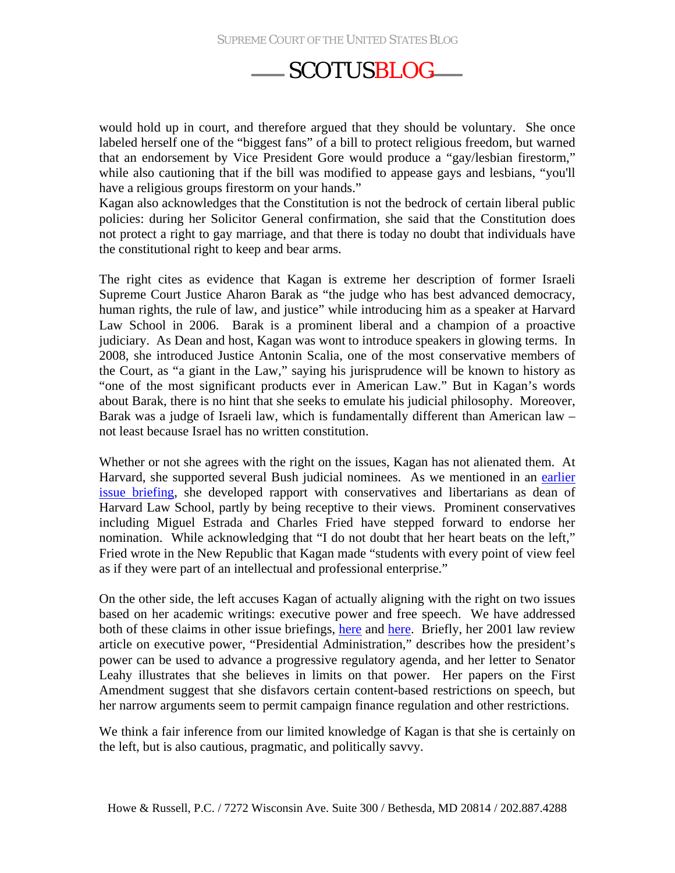would hold up in court, and therefore argued that they should be voluntary. She once labeled herself one of the "biggest fans" of a bill to protect religious freedom, but warned that an endorsement by Vice President Gore would produce a "gay/lesbian firestorm," while also cautioning that if the bill was modified to appease gays and lesbians, "you'll have a religious groups firestorm on your hands."

Kagan also acknowledges that the Constitution is not the bedrock of certain liberal public policies: during her Solicitor General confirmation, she said that the Constitution does not protect a right to gay marriage, and that there is today no doubt that individuals have the constitutional right to keep and bear arms.

The right cites as evidence that Kagan is extreme her description of former Israeli Supreme Court Justice Aharon Barak as "the judge who has best advanced democracy, human rights, the rule of law, and justice" while introducing him as a speaker at Harvard Law School in 2006. Barak is a prominent liberal and a champion of a proactive judiciary. As Dean and host, Kagan was wont to introduce speakers in glowing terms. In 2008, she introduced Justice Antonin Scalia, one of the most conservative members of the Court, as "a giant in the Law," saying his jurisprudence will be known to history as "one of the most significant products ever in American Law." But in Kagan's words about Barak, there is no hint that she seeks to emulate his judicial philosophy. Moreover, Barak was a judge of Israeli law, which is fundamentally different than American law – not least because Israel has no written constitution.

Whether or not she agrees with the right on the issues, Kagan has not alienated them. At Harvard, she supported several Bush judicial nominees. As we mentioned in an earlier [issue briefing](http://www.scotusblog.com/wp-content/uploads/2010/06/Kagan-issues_conservatives-June-18.pdf), she developed rapport with conservatives and libertarians as dean of Harvard Law School, partly by being receptive to their views. Prominent conservatives including Miguel Estrada and Charles Fried have stepped forward to endorse her nomination. While acknowledging that "I do not doubt that her heart beats on the left," Fried wrote in the New Republic that Kagan made "students with every point of view feel as if they were part of an intellectual and professional enterprise."

On the other side, the left accuses Kagan of actually aligning with the right on two issues based on her academic writings: executive power and free speech. We have addressed both of these claims in other issue briefings, [here](http://www.scotusblog.com/wp-content/uploads/2010/06/Kagan-issues_executive-power-June-23.pdf) and [here.](http://www.scotusblog.com/wp-content/uploads/2010/06/Kagan-issues_Citizens-United-June-22.pdf) Briefly, her 2001 law review article on executive power, "Presidential Administration," describes how the president's power can be used to advance a progressive regulatory agenda, and her letter to Senator Leahy illustrates that she believes in limits on that power. Her papers on the First Amendment suggest that she disfavors certain content-based restrictions on speech, but her narrow arguments seem to permit campaign finance regulation and other restrictions.

We think a fair inference from our limited knowledge of Kagan is that she is certainly on the left, but is also cautious, pragmatic, and politically savvy.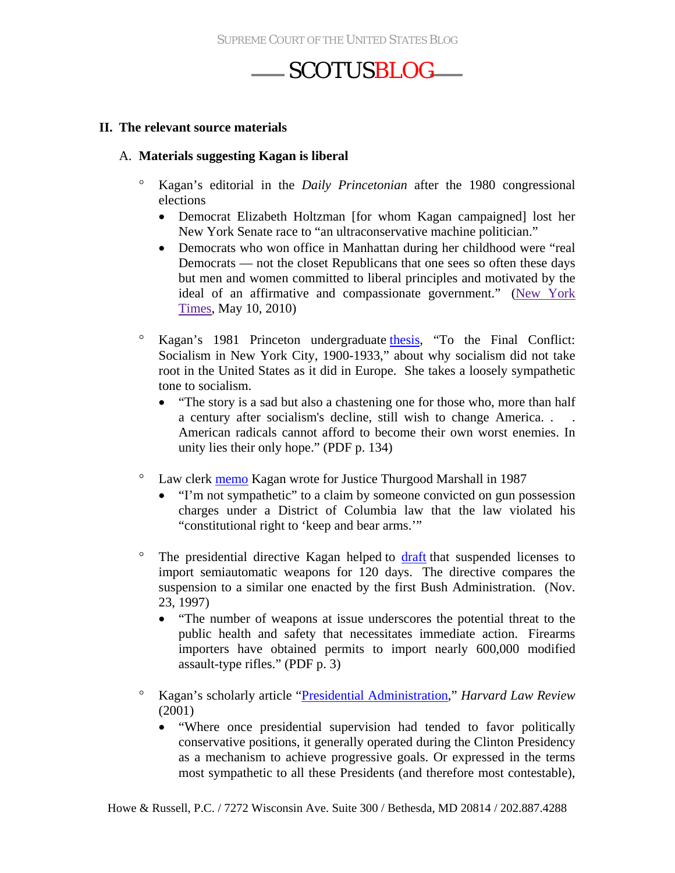#### **II. The relevant source materials**

#### A. **Materials suggesting Kagan is liberal**

- ° Kagan's editorial in the *Daily Princetonian* after the 1980 congressional elections
	- Democrat Elizabeth Holtzman [for whom Kagan campaigned] lost her New York Senate race to "an ultraconservative machine politician."
	- Democrats who won office in Manhattan during her childhood were "real Democrats — not the closet Republicans that one sees so often these days but men and women committed to liberal principles and motivated by the ideal of an affirmative and compassionate government." [\(New York](http://www.nytimes.com/2010/05/11/us/politics/11kagan.html)  [Times,](http://www.nytimes.com/2010/05/11/us/politics/11kagan.html) May 10, 2010)
- ° Kagan's 1981 Princeton undergraduate [thesis,](http://judiciary.senate.gov/nominations/SupremeCourt/upload/ElenaKagan-PrincetonThesis.pdfhttp:/www.redstate.com/erick/files/2010/05/kaganthesis.pdf) "To the Final Conflict: Socialism in New York City, 1900-1933," about why socialism did not take root in the United States as it did in Europe. She takes a loosely sympathetic tone to socialism.
	- "The story is a sad but also a chastening one for those who, more than half a century after socialism's decline, still wish to change America. . . American radicals cannot afford to become their own worst enemies. In unity lies their only hope." (PDF p. 134)
- ° Law clerk [memo](http://www.scotusblog.com/wp-content/uploads/2010/05/secondamendmentmemo.pdf) Kagan wrote for Justice Thurgood Marshall in 1987
	- "I'm not sympathetic" to a claim by someone convicted on gun possession charges under a District of Columbia law that the law violated his "constitutional right to 'keep and bear arms.'"
- <sup>o</sup> The presidential directive Kagan helped to [draft](http://online.wsj.com/public/resources/documents/Kaganassaultweapons.pdf) that suspended licenses to import semiautomatic weapons for 120 days. The directive compares the suspension to a similar one enacted by the first Bush Administration. (Nov. 23, 1997)
	- "The number of weapons at issue underscores the potential threat to the public health and safety that necessitates immediate action. Firearms importers have obtained permits to import nearly 600,000 modified assault-type rifles." (PDF p. 3)
- ° Kagan's scholarly article "[Presidential Administration,](http://judiciary.senate.gov/nominations/111thCongressExecutiveNominations/upload/KaganSG-Question13A-Part9.pdf)" *Harvard Law Review*  (2001)
	- "Where once presidential supervision had tended to favor politically conservative positions, it generally operated during the Clinton Presidency as a mechanism to achieve progressive goals. Or expressed in the terms most sympathetic to all these Presidents (and therefore most contestable),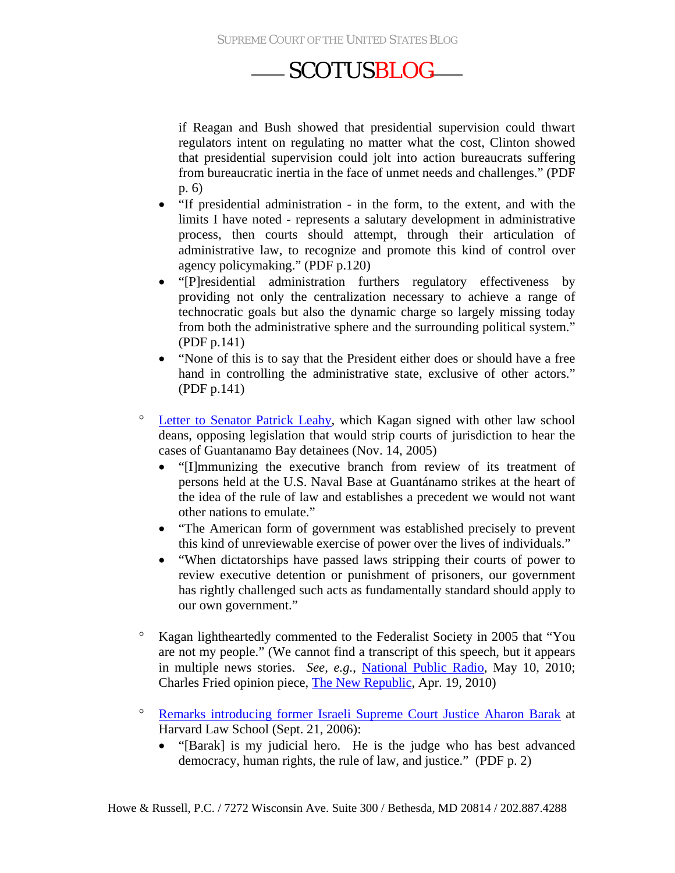if Reagan and Bush showed that presidential supervision could thwart regulators intent on regulating no matter what the cost, Clinton showed that presidential supervision could jolt into action bureaucrats suffering from bureaucratic inertia in the face of unmet needs and challenges." (PDF p. 6)

- "If presidential administration in the form, to the extent, and with the limits I have noted - represents a salutary development in administrative process, then courts should attempt, through their articulation of administrative law, to recognize and promote this kind of control over agency policymaking." (PDF p.120)
- "[P]residential administration furthers regulatory effectiveness by providing not only the centralization necessary to achieve a range of technocratic goals but also the dynamic charge so largely missing today from both the administrative sphere and the surrounding political system." (PDF p.141)
- "None of this is to say that the President either does or should have a free hand in controlling the administrative state, exclusive of other actors." (PDF p.141)
- ° [Letter to Senator Patrick Leahy,](http://www.scotusblog.com/wp-content/uploads/2010/03/Letter-to-Leahy_Guantanamo-habeas.pdf) which Kagan signed with other law school deans, opposing legislation that would strip courts of jurisdiction to hear the cases of Guantanamo Bay detainees (Nov. 14, 2005)
	- "[I]mmunizing the executive branch from review of its treatment of persons held at the U.S. Naval Base at Guantánamo strikes at the heart of the idea of the rule of law and establishes a precedent we would not want other nations to emulate."
	- "The American form of government was established precisely to prevent this kind of unreviewable exercise of power over the lives of individuals."
	- "When dictatorships have passed laws stripping their courts of power to review executive detention or punishment of prisoners, our government has rightly challenged such acts as fundamentally standard should apply to our own government."
- ° Kagan lightheartedly commented to the Federalist Society in 2005 that "You are not my people." (We cannot find a transcript of this speech, but it appears in multiple news stories. *See, e.g.*, [National Public Radio](http://www.npr.org/templates/story/story.php?storyId=121712227), May 10, 2010; Charles Fried opinion piece, [The New Republic,](http://www.tnr.com/article/politics/everyones-dean) Apr. 19, 2010)
- ° [Remarks introducing former Israeli Supreme Court Justice Aharon Barak](http://judiciary.senate.gov/nominations/SupremeCourt/Kagan12D/upload/12D-54-092106.pdf) at Harvard Law School (Sept. 21, 2006):
	- "[Barak] is my judicial hero. He is the judge who has best advanced democracy, human rights, the rule of law, and justice." (PDF p. 2)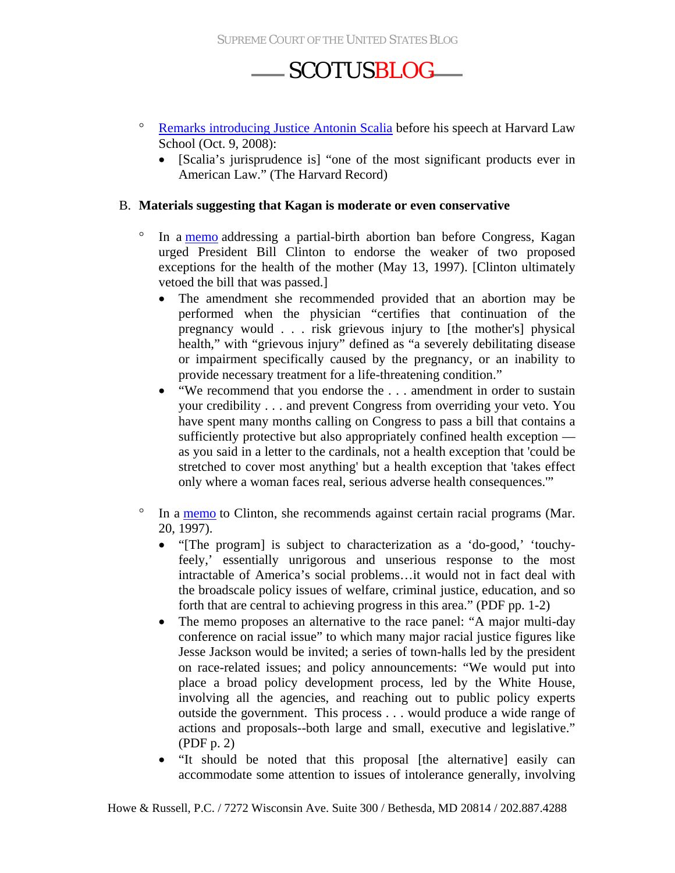- ° [Remarks introducing Justice Antonin Scalia](http://judiciary.senate.gov/nominations/SupremeCourt/Kagan12D/upload/12D-18-100208.pdf) before his speech at Harvard Law School (Oct. 9, 2008):
	- [Scalia's jurisprudence is] "one of the most significant products ever in American Law." (The Harvard Record)

#### B. **Materials suggesting that Kagan is moderate or even conservative**

- ° In a [memo](http://online.wsj.com/public/resources/documents/May131997memo.pdf) addressing a partial-birth abortion ban before Congress, Kagan urged President Bill Clinton to endorse the weaker of two proposed exceptions for the health of the mother (May 13, 1997). [Clinton ultimately vetoed the bill that was passed.]
	- The amendment she recommended provided that an abortion may be performed when the physician "certifies that continuation of the pregnancy would . . . risk grievous injury to [the mother's] physical health," with "grievous injury" defined as "a severely debilitating disease or impairment specifically caused by the pregnancy, or an inability to provide necessary treatment for a life-threatening condition."
	- "We recommend that you endorse the ... amendment in order to sustain your credibility . . . and prevent Congress from overriding your veto. You have spent many months calling on Congress to pass a bill that contains a sufficiently protective but also appropriately confined health exception as you said in a letter to the cardinals, not a health exception that 'could be stretched to cover most anything' but a health exception that 'takes effect only where a woman faces real, serious adverse health consequences.'"
- ° In a [memo](http://www.clintonlibrary.gov/Documents/Kagan%20-%20Bruce%20Reed/Kagan%20-%20Bruce%20Reed%20-%20Subject%20File%20Series/Box%20124%20Race%20Commission%20Doc%201.pdf) to Clinton, she recommends against certain racial programs (Mar. 20, 1997).
	- "[The program] is subject to characterization as a 'do-good,' 'touchyfeely,' essentially unrigorous and unserious response to the most intractable of America's social problems…it would not in fact deal with the broadscale policy issues of welfare, criminal justice, education, and so forth that are central to achieving progress in this area." (PDF pp. 1-2)
	- The memo proposes an alternative to the race panel: "A major multi-day" conference on racial issue" to which many major racial justice figures like Jesse Jackson would be invited; a series of town-halls led by the president on race-related issues; and policy announcements: "We would put into place a broad policy development process, led by the White House, involving all the agencies, and reaching out to public policy experts outside the government. This process . . . would produce a wide range of actions and proposals--both large and small, executive and legislative." (PDF p. 2)
	- "It should be noted that this proposal [the alternative] easily can accommodate some attention to issues of intolerance generally, involving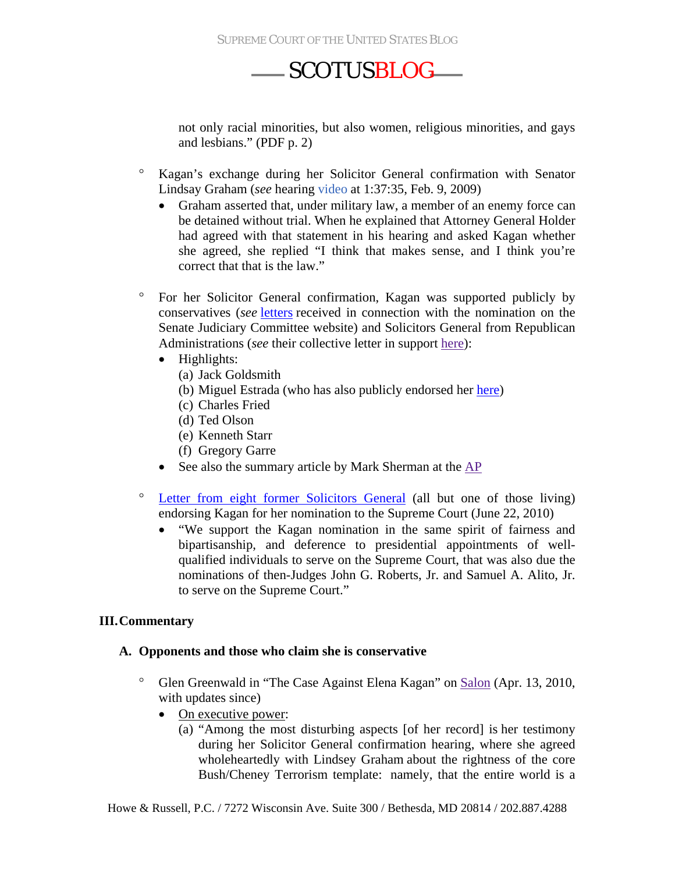not only racial minorities, but also women, religious minorities, and gays and lesbians." (PDF p. 2)

- ° Kagan's exchange during her Solicitor General confirmation with Senator Lindsay Graham (*see* hearing [video](http://www.c-spanvideo.org/program/283954-1) at 1:37:35, Feb. 9, 2009)
	- Graham asserted that, under military law, a member of an enemy force can be detained without trial. When he explained that Attorney General Holder had agreed with that statement in his hearing and asked Kagan whether she agreed, she replied "I think that makes sense, and I think you're correct that that is the law."
- ° For her Solicitor General confirmation, Kagan was supported publicly by conservatives (*see* [letters](http://judiciary.senate.gov/nominations/111thCongressExecutiveNominations/upload/Kagan-Letters.pdf) received in connection with the nomination on the Senate Judiciary Committee website) and Solicitors General from Republican Administrations (*see* their collective letter in support [here\)](http://judiciary.senate.gov/nominations/111thCongressExecutiveNominations/upload/012709-Kagan-FormerSGs.pdf):
	- Highlights:
		- (a) Jack Goldsmith
		- (b) Miguel Estrada (who has also publicly endorsed her [here](http://www.washingtonpost.com/wp-srv/opinions/documents/letter_in_support_of_kagan_nomination_051410.pdf))
		- (c) Charles Fried
		- (d) Ted Olson
		- (e) Kenneth Starr
		- (f) Gregory Garre
	- See also the summary article by Mark Sherman at the [AP](http://www.google.com/hostednews/ap/article/ALeqM5ikUCry8eyUs9TMu8pU14lmRiU6NQD9FMRGKO1)
- ° [Letter from eight former Solicitors General](http://online.wsj.com/public/resources/documents/SGendorsementletter.pdf) (all but one of those living) endorsing Kagan for her nomination to the Supreme Court (June 22, 2010)
	- "We support the Kagan nomination in the same spirit of fairness and bipartisanship, and deference to presidential appointments of wellqualified individuals to serve on the Supreme Court, that was also due the nominations of then-Judges John G. Roberts, Jr. and Samuel A. Alito, Jr. to serve on the Supreme Court."

#### **III.Commentary**

#### **A. Opponents and those who claim she is conservative**

- ° Glen Greenwald in "The Case Against Elena Kagan" on [Salon](http://www.salon.com/news/opinion/glenn_greenwald/2010/04/13/kagan) (Apr. 13, 2010, with updates since)
	- On executive power:
		- (a) "Among the most disturbing aspects [of her record] is [her testimony](http://findarticles.com/p/news-articles/political-transcript-wire/mi_8167/is_20090211/sen-patrick-leahy-holds-hearing/ai_n50840849/pg_29/?tag=content;col1)  [during her Solicitor General confirmation hearing,](http://findarticles.com/p/news-articles/political-transcript-wire/mi_8167/is_20090211/sen-patrick-leahy-holds-hearing/ai_n50840849/pg_29/?tag=content;col1) where she [agreed](http://www.nytimes.com/2009/05/17/us/17kagan.html)  [wholeheartedly with Lindsey Graham](http://www.nytimes.com/2009/05/17/us/17kagan.html) about the rightness of the core Bush/Cheney Terrorism template: namely, that the entire world is a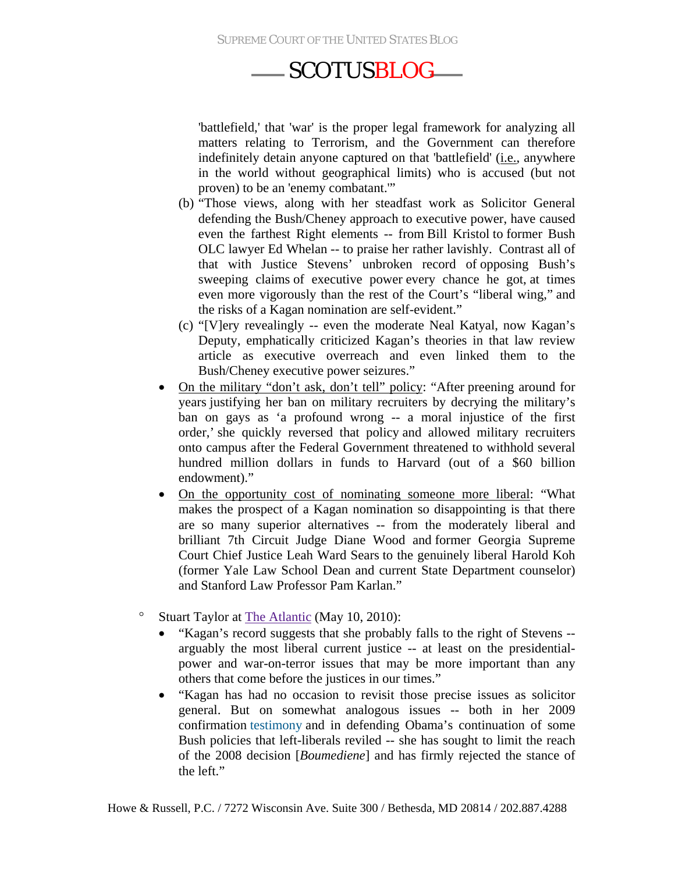SUPREME COURT OF THE UNITED STATES BLOG

### SCOTUS BLOG

'battlefield,' that 'war' is the proper legal framework for analyzing all matters relating to Terrorism, and the Government can therefore indefinitely detain anyone captured on that 'battlefield' (i.e., anywhere in the world without geographical limits) who is accused (but not proven) to be an 'enemy combatant.'"

- (b) "Those views, along with her steadfast work as Solicitor General defending the Bush/Cheney approach to executive power, have caused even the farthest Right elements -- from [Bill Kristol](http://www.prospect.org/csnc/blogs/tapped_archive?month=04&year=2010&base_name=filibuster_follies_draft) to [former Bush](http://bench.nationalreview.com/post/?q=Y2ZjNDY4OWJmYzJlNjQyNTMyZjZkNTkzOTEwZGI3MGY=)  [OLC lawyer Ed Whelan](http://bench.nationalreview.com/post/?q=Y2ZjNDY4OWJmYzJlNjQyNTMyZjZkNTkzOTEwZGI3MGY=) -- to praise her rather lavishly. Contrast all of that with Justice Stevens' unbroken record of [opposing Bush's](http://www.law.cornell.edu/supct/html/06-1195.ZO.html)  [sweeping claims](http://www.law.cornell.edu/supct/html/06-1195.ZO.html) of executive power [every chance he got,](http://www.law.cornell.edu/supct/html/03-334.ZO.html) [at times](http://www.law.cornell.edu/supct/html/03-6696.ZD.html)  [even more vigorously than the rest of the Court's "liberal wing,"](http://www.law.cornell.edu/supct/html/03-6696.ZD.html) and the risks of a Kagan nomination are self-evident."
- (c) "[V]ery revealingly -- even the moderate Neal Katyal, now Kagan's Deputy, emphatically criticized Kagan's theories in that law review article as executive overreach and even linked them to the Bush/Cheney executive power seizures."
- On the military "don't ask, don't tell" policy: "After preening around for [years](http://bench.nationalreview.com/post/?q=YmU1OThmZGQ0NjUzNmY0ODNmMzNlYWRiYzFiMmM1ZGY=) justifying her ban on military recruiters by decrying the military's ban on gays as 'a profound wrong -- a moral injustice of the first order,' [she quickly reversed that policy](http://www.thecrimson.com/article/2005/9/20/law-school-to-cooperate-with-military/) and allowed military recruiters onto campus after the Federal Government threatened to withhold several hundred million dollars in funds to Harvard (out of a \$60 billion endowment)."
- On the opportunity cost of nominating someone more liberal: "What makes the prospect of a Kagan nomination so disappointing is that there are so many superior alternatives -- from the moderately liberal and brilliant 7th Circuit Judge Diane Wood and [former Georgia Supreme](http://blogs.abcnews.com/politicalpunch/2010/04/another-name-on-president-obamas-supreme-court-short-list.html)  [Court Chief Justice Leah Ward Sears](http://blogs.abcnews.com/politicalpunch/2010/04/another-name-on-president-obamas-supreme-court-short-list.html) to the genuinely liberal Harold Koh (former Yale Law School Dean and current State Department counselor) and Stanford Law Professor Pam Karlan."
- ° Stuart Taylor at [The Atlantic](http://www.theatlantic.com/national/archive/2010/05/kagan-may-mean-a-more-conservative-court/56455/) (May 10, 2010):
	- "Kagan's record suggests that she probably falls to the right of Stevens arguably the most liberal current justice -- at least on the presidentialpower and war-on-terror issues that may be more important than any others that come before the justices in our times."
	- "Kagan has had no occasion to revisit those precise issues as solicitor general. But on somewhat analogous issues -- both in her 2009 confirmation [testimony](http://www.theatlantic.com/politics/archive/2010/05/how-kagan-fared-last-time/56451/) and in defending Obama's continuation of some Bush policies that left-liberals reviled -- she has sought to limit the reach of the 2008 decision [*Boumediene*] and has firmly rejected the stance of the left."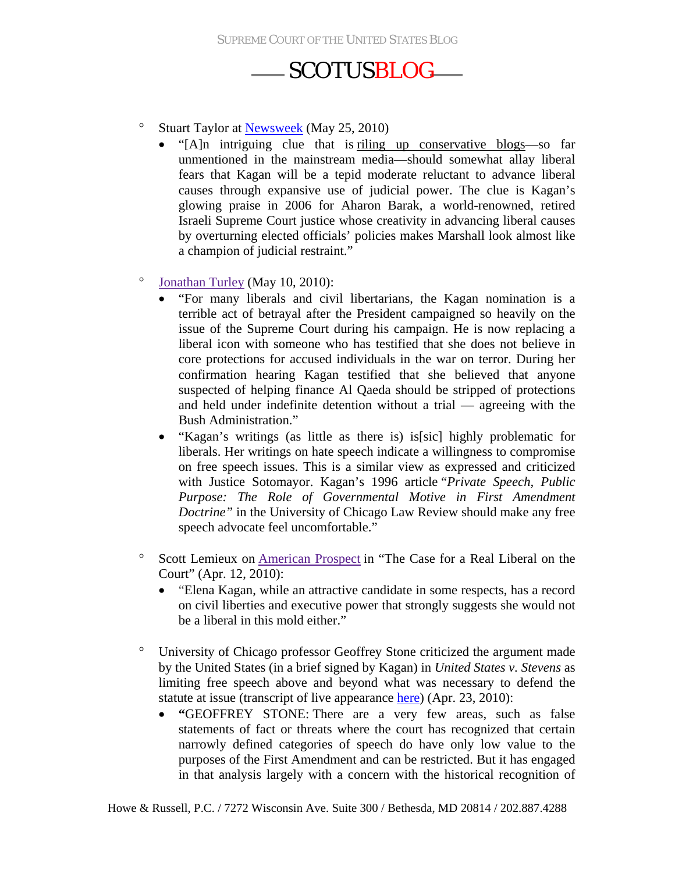- ° Stuart Taylor at [Newsweek](http://www.newsweek.com/2010/05/25/elena-kagan-s-judicial-hero.html) (May 25, 2010)
	- "[A]n intriguing clue that is [riling up conservative blogs—](http://www.nationalreview.com/bench-memos/55919/kagan-s-judicial-hero-aharon-barak/ed-whelan)so far unmentioned in the mainstream media—should somewhat allay liberal fears that Kagan will be a tepid moderate reluctant to advance liberal causes through expansive use of judicial power. The clue is Kagan's glowing praise in 2006 for Aharon Barak, a world-renowned, retired Israeli Supreme Court justice whose creativity in advancing liberal causes by overturning elected officials' policies makes Marshall look almost like a champion of judicial restraint."
- ° [Jonathan Turley](http://jonathanturley.org/2010/05/10/obama-to-nominate-elena-kagan/) (May 10, 2010):
	- "For many liberals and civil libertarians, the Kagan nomination is a terrible act of betrayal after the President campaigned so heavily on the issue of the Supreme Court during his campaign. He is now replacing a liberal icon with someone who has testified that she does not believe in core protections for accused individuals in the war on terror. During her confirmation hearing Kagan testified that she believed that anyone suspected of helping finance Al Qaeda should be stripped of protections and held under indefinite detention without a trial — agreeing with the Bush Administration."
	- "Kagan's writings (as little as there is) is [sic] highly problematic for liberals. Her writings on hate speech indicate a willingness to compromise on free speech issues. This is a similar view as expressed and criticized with Justice Sotomayor. Kagan's 1996 article "*Private Speech, Public Purpose: The Role of Governmental Motive in First Amendment Doctrine"* in the University of Chicago Law Review should make any free speech advocate feel uncomfortable."
- ° Scott Lemieux on [American Prospect](http://prospect.org/cs/articles?article=the_case_for_a_real_liberal_on_the_court) in "The Case for a Real Liberal on the Court" (Apr. 12, 2010):
	- "Elena Kagan, while an attractive candidate in some respects, has a record on civil liberties and executive power that strongly suggests she would not be a liberal in this mold either."
- ° University of Chicago professor Geoffrey Stone criticized the argument made by the United States (in a brief signed by Kagan) in *United States v. Stevens* as limiting free speech above and beyond what was necessary to defend the statute at issue (transcript of live appearance [here\)](http://www.onthemedia.org/transcripts/2010/04/23/03) (Apr. 23, 2010):
	- **"**GEOFFREY STONE: There are a very few areas, such as false statements of fact or threats where the court has recognized that certain narrowly defined categories of speech do have only low value to the purposes of the First Amendment and can be restricted. But it has engaged in that analysis largely with a concern with the historical recognition of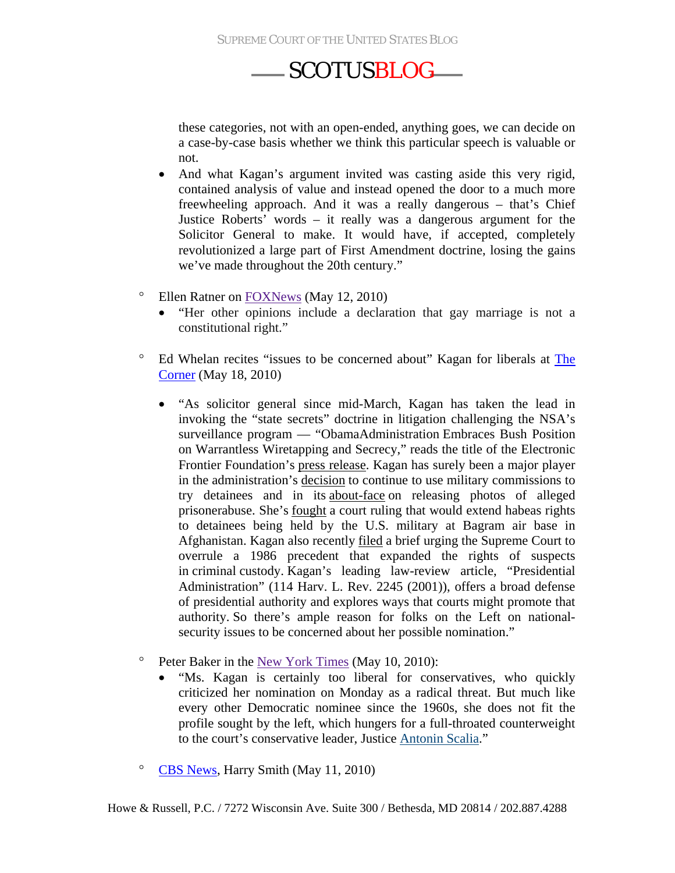these categories, not with an open-ended, anything goes, we can decide on a case-by-case basis whether we think this particular speech is valuable or not.

- And what Kagan's argument invited was casting aside this very rigid, contained analysis of value and instead opened the door to a much more freewheeling approach. And it was a really dangerous – that's Chief Justice Roberts' words – it really was a dangerous argument for the Solicitor General to make. It would have, if accepted, completely revolutionized a large part of First Amendment doctrine, losing the gains we've made throughout the 20th century."
- ° Ellen Ratner on [FOXNews](http://www.foxnews.com/opinion/2010/05/12/ellen-ratner-obama-elena-kagan-supreme-court-stevens-liberal-harvard/) (May 12, 2010)
	- "Her other opinions include a declaration that gay marriage is not a constitutional right."
- ° Ed Whelan recites "issues to be concerned about" Kagan for liberals at [The](http://corner.nationalreview.com/post/?q=M2U5ZTAyZDVhMzY0NThjYzVjYTc4NTY4MzMxNGZmNTk=)  [Corner](http://corner.nationalreview.com/post/?q=M2U5ZTAyZDVhMzY0NThjYzVjYTc4NTY4MzMxNGZmNTk=) (May 18, 2010)
	- "As solicitor general since mid-March, Kagan has taken the lead in invoking the "state secrets" doctrine in litigation challenging the NSA's surveillance program — "ObamaAdministration Embraces Bush Position on Warrantless Wiretapping and Secrecy," reads the title of the Electronic Frontier Foundation's [press release.](http://www.eff.org/press/archives/2009/04/05) Kagan has surely been a major player in the administration's [decision](http://corner.nationalreview.com/post/?q=NGUwZjQ5ZmQ2MjFmMzEwOGQ4ODJmMDMyMDgxNGI3MzM=) to continue to use military commissions to try detainees and in its [about-face](http://article.nationalreview.com/?q=ZDk5ZTUzYWYyYThlMGQ4ZWI3NDNjOWJjYjA3MWY1OTM=) on releasing photos of alleged prisonerabuse. She's [fought](http://www.scotusblog.com/wp/us-resists-rights-at-bagram/) a court ruling that would extend habeas rights to detainees being held by the U.S. military at Bagram air base in Afghanistan. Kagan also recently [filed](http://www.scotusblog.com/wp/us-challenges-michigan-v-jackson/) a brief urging the Supreme Court to overrule a 1986 precedent that expanded the rights of suspects in criminal custody. Kagan's leading law-review article, "Presidential Administration" (114 Harv. L. Rev. 2245 (2001)), offers a broad defense of presidential authority and explores ways that courts might promote that authority. So there's ample reason for folks on the Left on nationalsecurity issues to be concerned about her possible nomination."
- ° Peter Baker in the [New York Times](http://www.nytimes.com/2010/05/11/us/politics/11nominees.html) (May 10, 2010):
	- "Ms. Kagan is certainly too liberal for conservatives, who quickly criticized her nomination on Monday as a radical threat. But much like every other Democratic nominee since the 1960s, she does not fit the profile sought by the left, which hungers for a full-throated counterweight to the court's conservative leader, Justice [Antonin Scalia.](http://topics.nytimes.com/top/reference/timestopics/people/s/antonin_scalia/index.html?inline=nyt-per)"
- ° [CBS News,](http://www.cbsnews.com/video/watch/?id=6471711n) Harry Smith (May 11, 2010)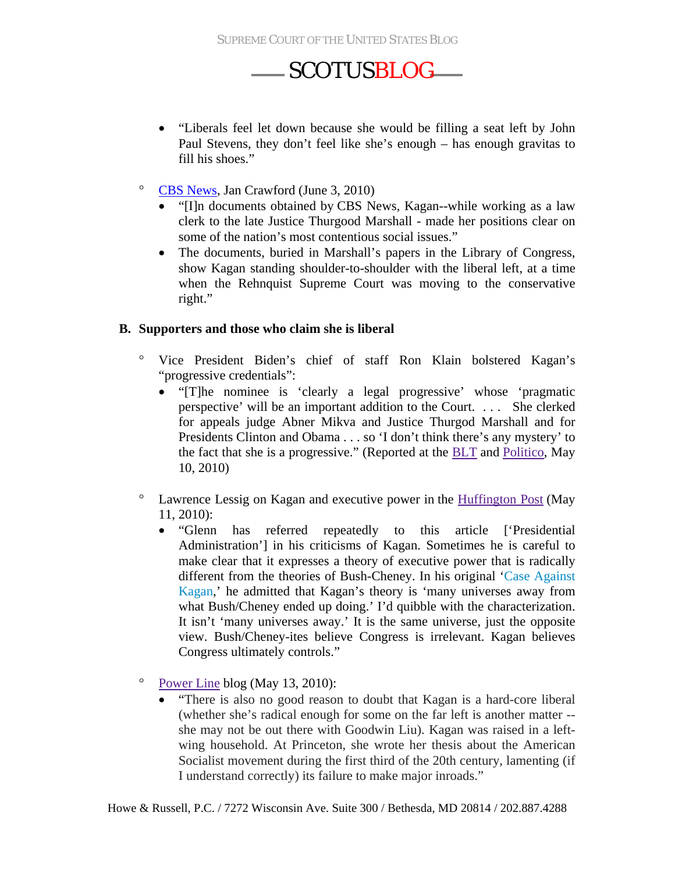- "Liberals feel let down because she would be filling a seat left by John Paul Stevens, they don't feel like she's enough – has enough gravitas to fill his shoes."
- ° [CBS News,](http://www.cbsnews.com/8301-504564_162-20006769-504564.html) Jan Crawford (June 3, 2010)
	- "Illn documents obtained by CBS News, Kagan--while working as a law clerk to the late Justice Thurgood Marshall - made her positions clear on some of the nation's most contentious social issues."
	- The documents, buried in Marshall's papers in the Library of Congress, show Kagan standing shoulder-to-shoulder with the liberal left, at a time when the Rehnquist Supreme Court was moving to the conservative right."

#### **B. Supporters and those who claim she is liberal**

- ° Vice President Biden's chief of staff Ron Klain bolstered Kagan's "progressive credentials":
	- "[T]he nominee is 'clearly a legal progressive' whose 'pragmatic perspective' will be an important addition to the Court. . . . She clerked for appeals judge Abner Mikva and Justice Thurgod Marshall and for Presidents Clinton and Obama . . . so 'I don't think there's any mystery' to the fact that she is a progressive." (Reported at the [BLT](http://legaltimes.typepad.com/blt/2010/05/biden-aide-ron-klain-nominee-kagan-is-a-legal-progressive.html) and [Politico,](http://www.politico.com/news/stories/0510/37020.html) May 10, 2010)
- ° Lawrence Lessig on Kagan and executive power in the [Huffington Post](http://www.huffingtonpost.com/lawrence-lessig/ok-so-now-im-a-liar_b_571974.html) (May 11, 2010):
	- "Glenn has referred repeatedly to this article ['Presidential Administration'] in his criticisms of Kagan. Sometimes he is careful to make clear that it expresses a theory of executive power that is radically different from the theories of Bush-Cheney. In his original '[Case Against](http://www.salon.com/news/opinion/glenn_greenwald/2010/04/13/kagan)  [Kagan](http://www.salon.com/news/opinion/glenn_greenwald/2010/04/13/kagan),' he admitted that Kagan's theory is 'many universes away from what Bush/Cheney ended up doing.' I'd quibble with the characterization. It isn't 'many universes away.' It is the same universe, just the opposite view. Bush/Cheney-ites believe Congress is irrelevant. Kagan believes Congress ultimately controls."
- ° [Power Line](http://www.powerlineblog.com/archives/2010/05/026292.php) blog (May 13, 2010):
	- "There is also no good reason to doubt that Kagan is a hard-core liberal (whether she's radical enough for some on the far left is another matter - she may not be out there with Goodwin Liu). Kagan was raised in a leftwing household. At Princeton, she wrote her thesis about the American Socialist movement during the first third of the 20th century, lamenting (if I understand correctly) its failure to make major inroads."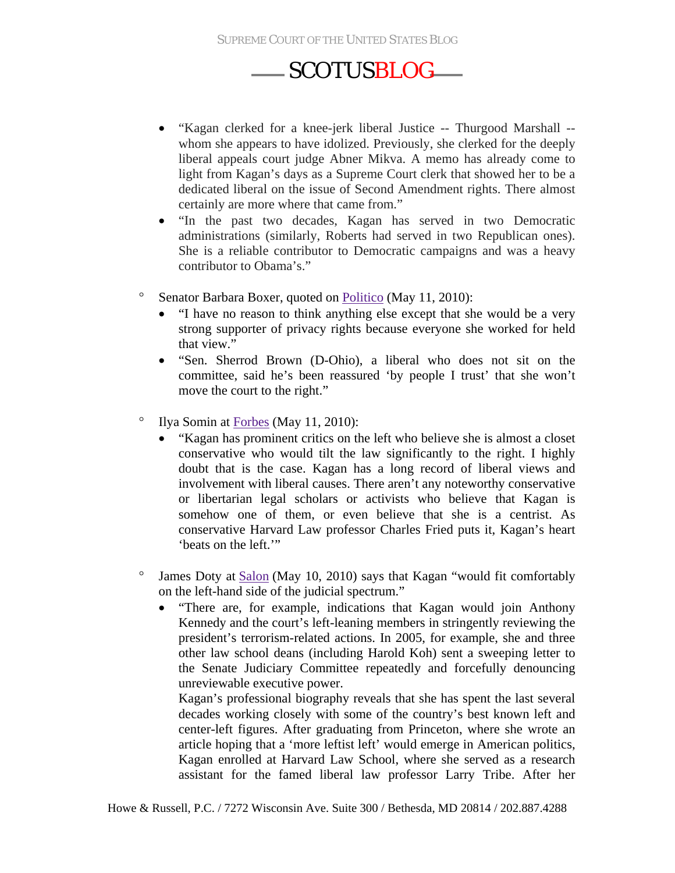- "Kagan clerked for a knee-jerk liberal Justice -- Thurgood Marshall whom she appears to have idolized. Previously, she clerked for the deeply liberal appeals court judge Abner Mikva. A memo has already come to light from Kagan's days as a Supreme Court clerk that showed her to be a dedicated liberal on the issue of Second Amendment rights. There almost certainly are more where that came from."
- "In the past two decades, Kagan has served in two Democratic administrations (similarly, Roberts had served in two Republican ones). She is a reliable contributor to Democratic campaigns and was a heavy contributor to Obama's."
- ° Senator Barbara Boxer, quoted on [Politico](http://www.politico.com/news/stories/0510/37099.html) (May 11, 2010):
	- "I have no reason to think anything else except that she would be a very strong supporter of privacy rights because everyone she worked for held that view."
	- "Sen. Sherrod Brown (D-Ohio), a liberal who does not sit on the committee, said he's been reassured 'by people I trust' that she won't move the court to the right."
- ° Ilya Somin at [Forbes](http://www.forbes.com/2010/05/11/elena-kagan-supreme-court-opinions-contributors-ilya-somin.html?boxes=Homepagechannels) (May 11, 2010):
	- "Kagan has prominent critics on the left who believe she is almost a closet conservative who would tilt the law significantly to the right. I highly doubt that is the case. Kagan has a long record of liberal views and involvement with liberal causes. There aren't any noteworthy conservative or libertarian legal scholars or activists who believe that Kagan is somehow one of them, or even believe that she is a centrist. As conservative Harvard Law professor Charles Fried puts it, Kagan's heart 'beats on the left.'"
- ° James Doty at [Salon](http://www.salon.com/news/opinion/feature/2010/05/09/liberals_should_kagan_chance) (May 10, 2010) says that Kagan "would fit comfortably on the left-hand side of the judicial spectrum."
	- "There are, for example, indications that Kagan would join Anthony Kennedy and the court's left-leaning members in stringently reviewing the president's terrorism-related actions. In 2005, for example, she and three other law school deans (including Harold Koh) sent a sweeping letter to the Senate Judiciary Committee repeatedly and forcefully denouncing unreviewable executive power.

Kagan's professional biography reveals that she has spent the last several decades working closely with some of the country's best known left and center-left figures. After graduating from Princeton, where she wrote an article hoping that a 'more leftist left' would emerge in American politics, Kagan enrolled at Harvard Law School, where she served as a research assistant for the famed liberal law professor Larry Tribe. After her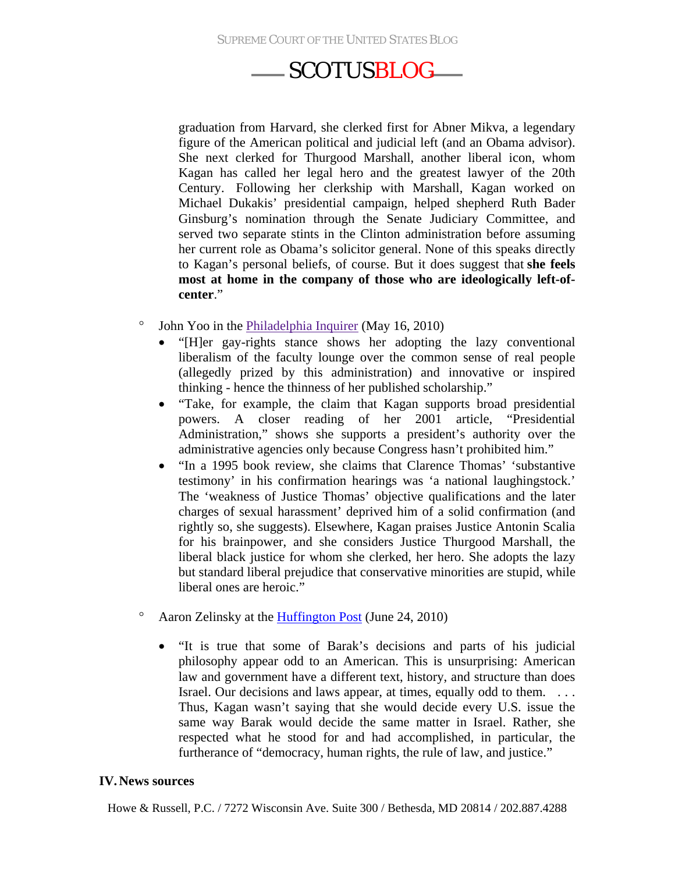graduation from Harvard, she clerked first for Abner Mikva, a legendary figure of the American political and judicial left (and an Obama advisor). She next clerked for Thurgood Marshall, another liberal icon, whom Kagan has called her legal hero and the greatest lawyer of the 20th Century. Following her clerkship with Marshall, Kagan worked on Michael Dukakis' presidential campaign, helped shepherd Ruth Bader Ginsburg's nomination through the Senate Judiciary Committee, and served two separate stints in the Clinton administration before assuming her current role as Obama's solicitor general. None of this speaks directly to Kagan's personal beliefs, of course. But it does suggest that **she feels most at home in the company of those who are ideologically left-ofcenter**."

- ° John Yoo in the [Philadelphia Inquirer](http://www.philly.com/inquirer/currents/20100516_Closing_Arguments__Kagan_at_home_with_typical_liberal_thinking.html#axzz0o5zN56Ne) (May 16, 2010)
	- "[H]er gay-rights stance shows her adopting the lazy conventional liberalism of the faculty lounge over the common sense of real people (allegedly prized by this administration) and innovative or inspired thinking - hence the thinness of her published scholarship."
	- "Take, for example, the claim that Kagan supports broad presidential powers. A closer reading of her 2001 article, "Presidential Administration," shows she supports a president's authority over the administrative agencies only because Congress hasn't prohibited him."
	- "In a 1995 book review, she claims that Clarence Thomas' 'substantive testimony' in his confirmation hearings was 'a national laughingstock.' The 'weakness of Justice Thomas' objective qualifications and the later charges of sexual harassment' deprived him of a solid confirmation (and rightly so, she suggests). Elsewhere, Kagan praises Justice Antonin Scalia for his brainpower, and she considers Justice Thurgood Marshall, the liberal black justice for whom she clerked, her hero. She adopts the lazy but standard liberal prejudice that conservative minorities are stupid, while liberal ones are heroic."
- ° Aaron Zelinsky at the [Huffington Post](http://www.huffingtonpost.com/aaron-zelinsky/borking-barak-why-the-rig_b_623601.html) (June 24, 2010)
	- "It is true that some of Barak's decisions and parts of his judicial philosophy appear odd to an American. This is unsurprising: American law and government have a different text, history, and structure than does Israel. Our decisions and laws appear, at times, equally odd to them. . . . Thus, Kagan wasn't saying that she would decide every U.S. issue the same way Barak would decide the same matter in Israel. Rather, she respected what he stood for and had accomplished, in particular, the furtherance of "democracy, human rights, the rule of law, and justice."

#### **IV.News sources**

Howe & Russell, P.C. / 7272 Wisconsin Ave. Suite 300 / Bethesda, MD 20814 / 202.887.4288